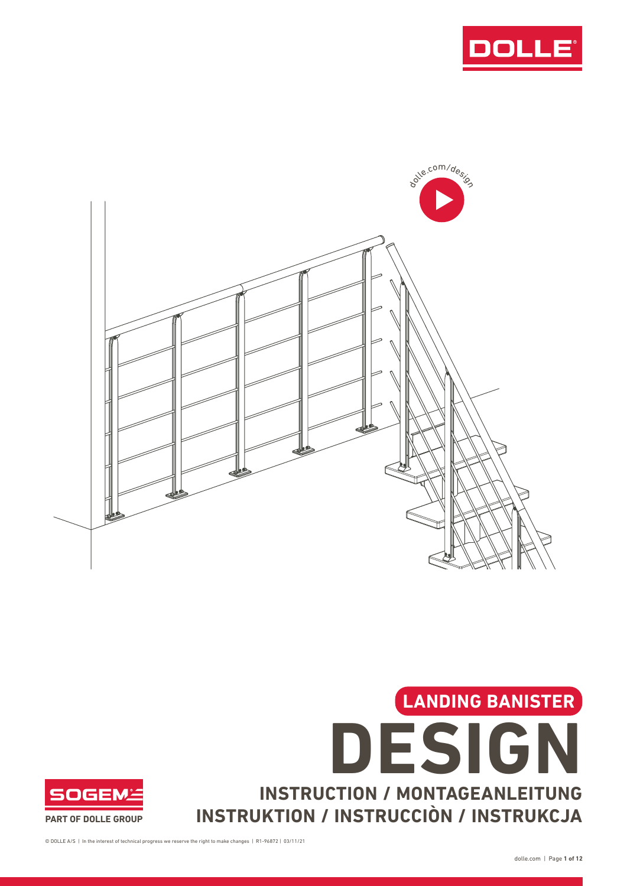







© DOLLE A/S | In the interest of technical progress we reserve the right to make changes | R1-96872 | 03/11/21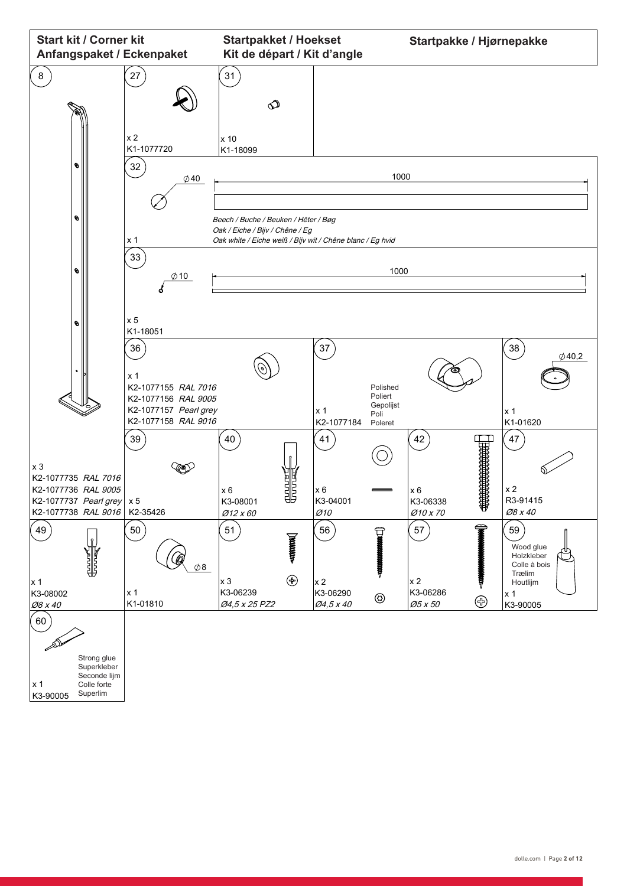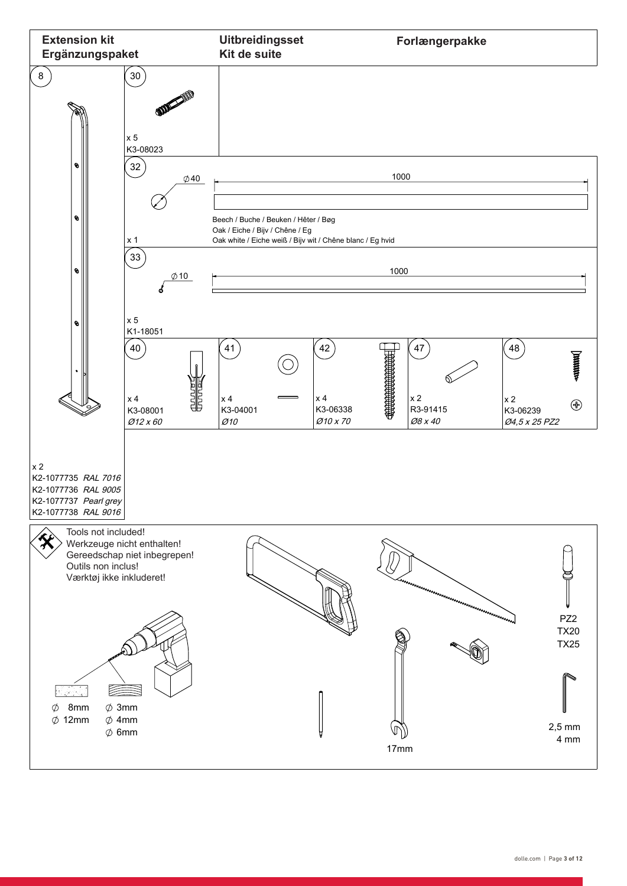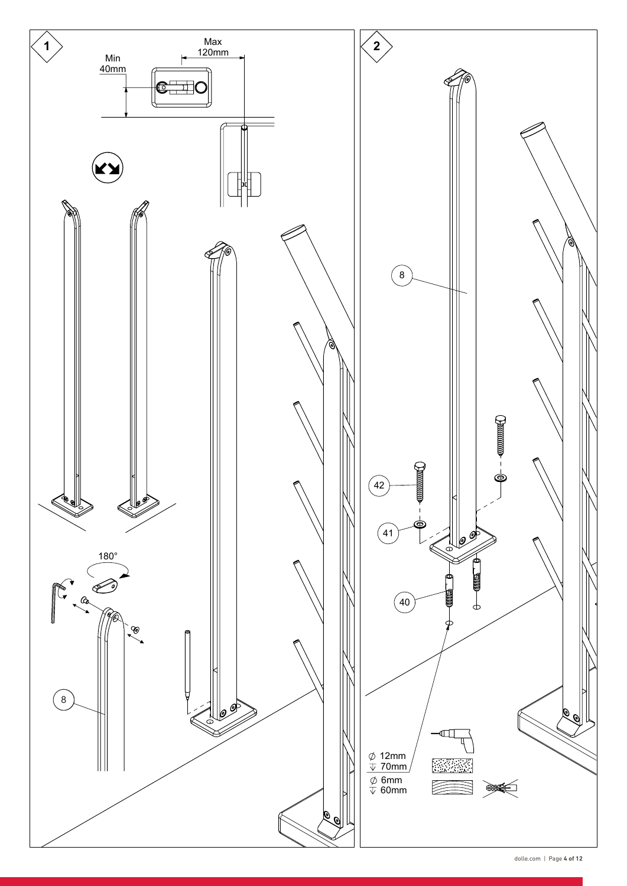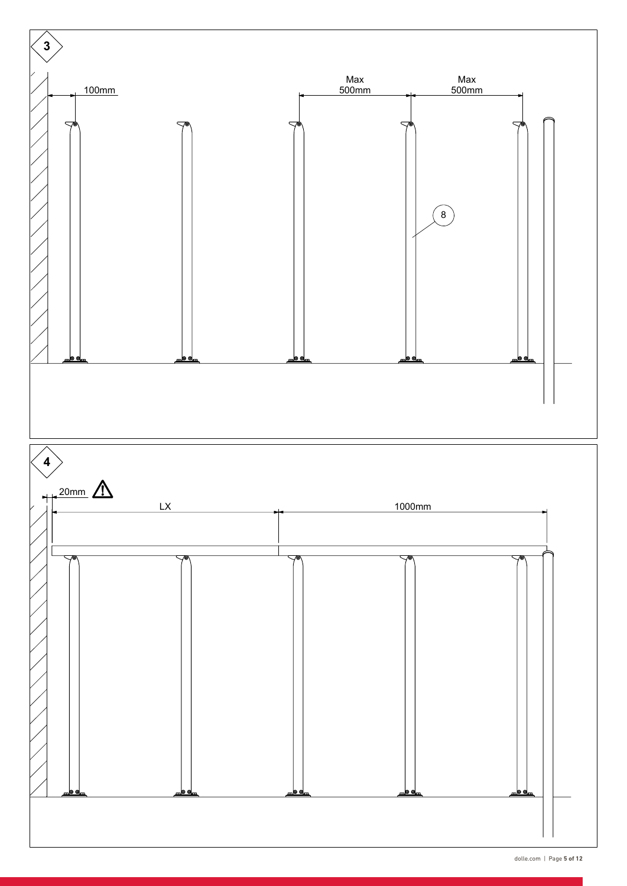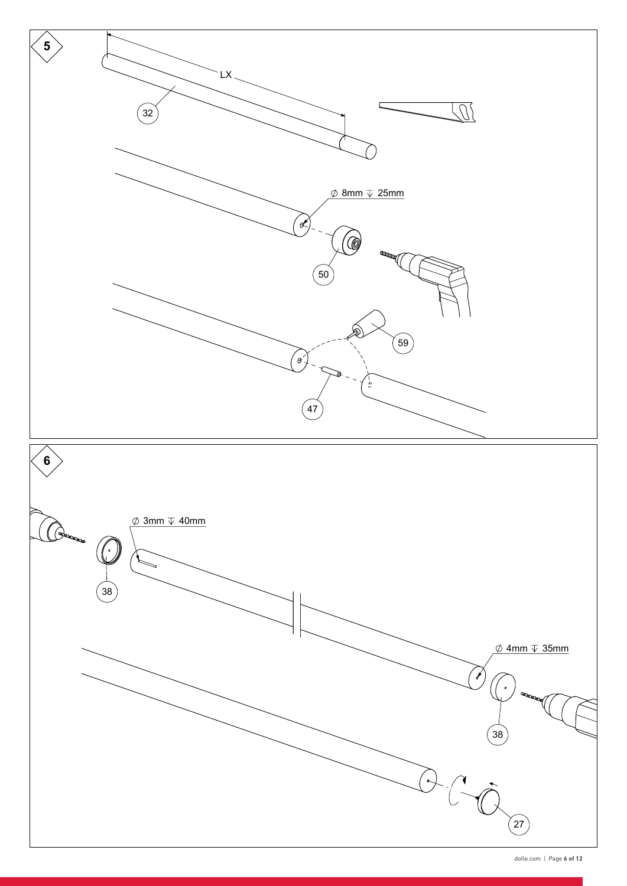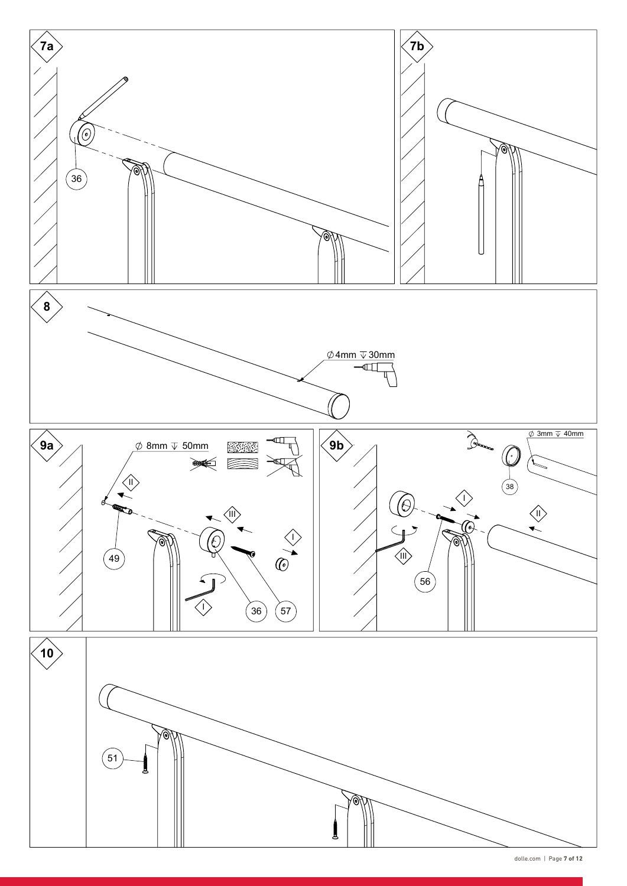

dolle.com | Page **7 of 12**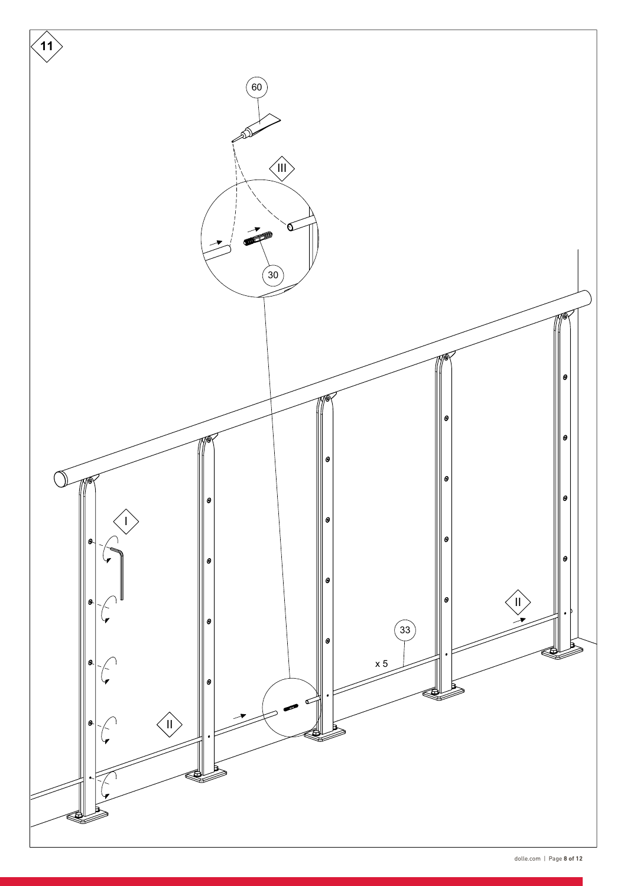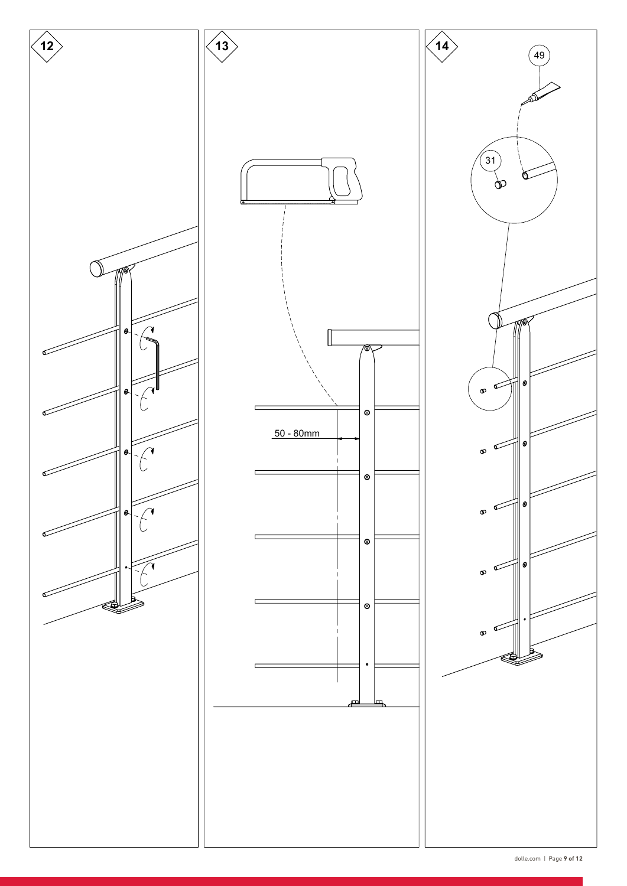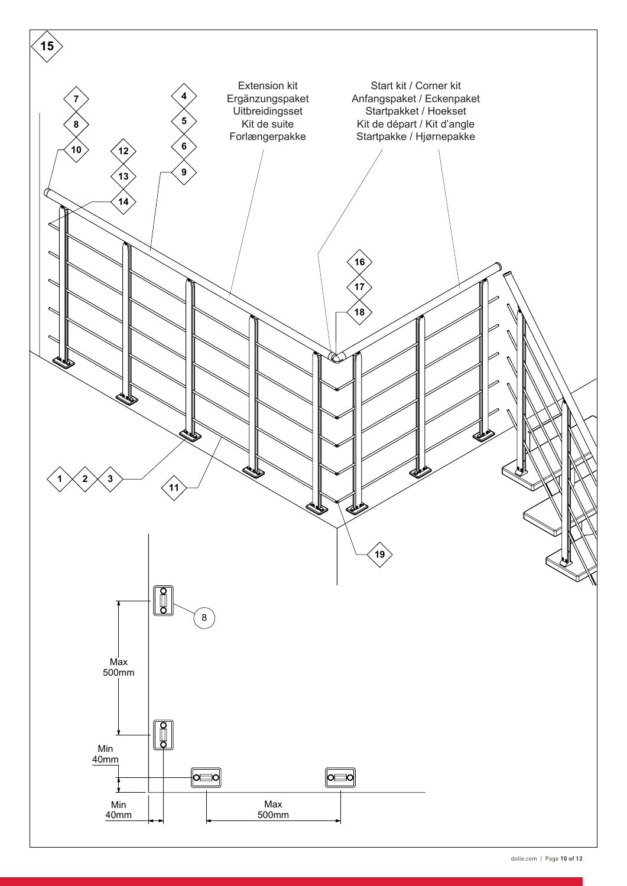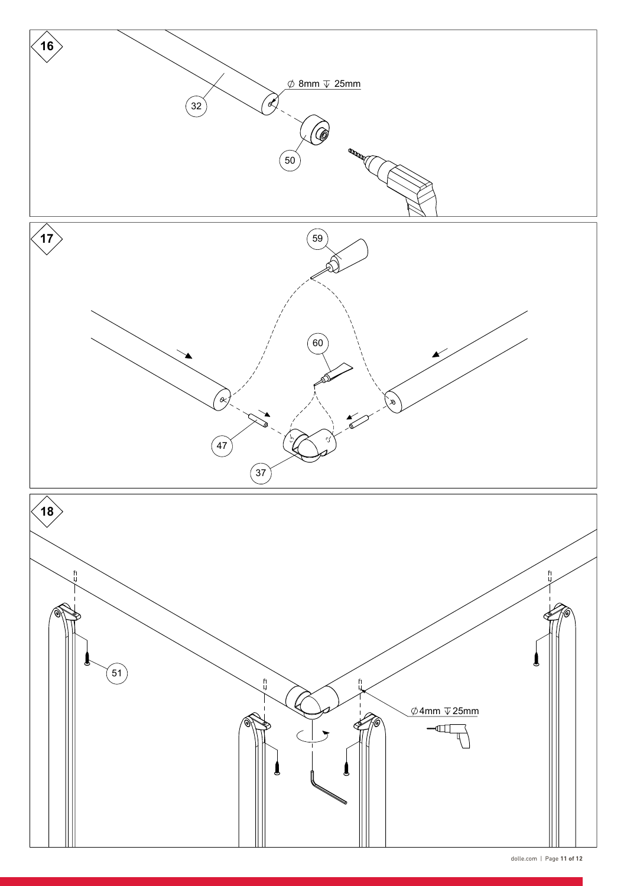